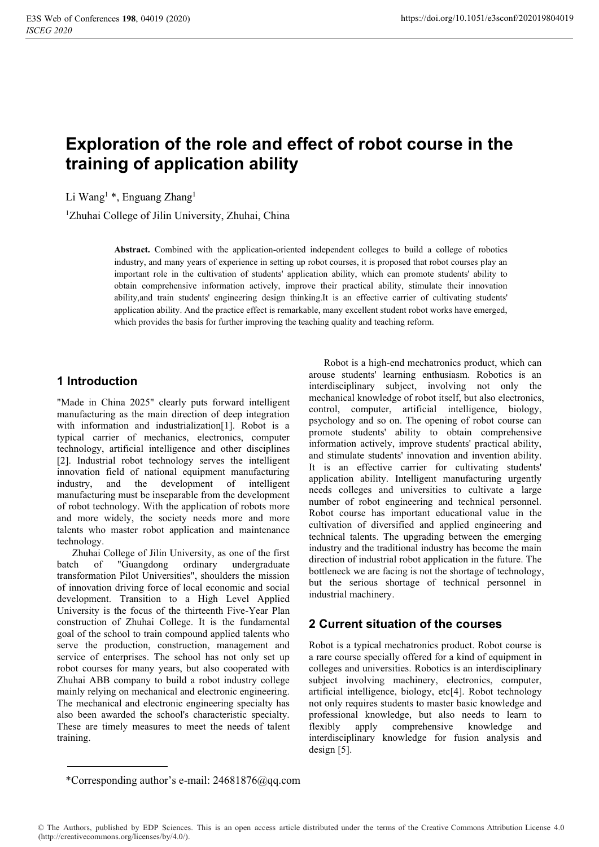# **Exploration of the role and effect of robot course in the training of application ability**

Li Wang<sup>1</sup> \*, Enguang Zhang<sup>1</sup>

1 Zhuhai College of Jilin University, Zhuhai, China

**Abstract.** Combined with the application-oriented independent colleges to build a college of robotics industry, and many years of experience in setting up robot courses, it is proposed that robot courses play an important role in the cultivation of students' application ability, which can promote students' ability to obtain comprehensive information actively, improve their practical ability, stimulate their innovation ability,and train students' engineering design thinking.It is an effective carrier of cultivating students' application ability. And the practice effect is remarkable, many excellent student robot works have emerged, which provides the basis for further improving the teaching quality and teaching reform.

### **1 Introduction**

"Made in China 2025" clearly puts forward intelligent manufacturing as the main direction of deep integration with information and industrialization[1]. Robot is a typical carrier of mechanics, electronics, computer technology, artificial intelligence and other disciplines [2]. Industrial robot technology serves the intelligent innovation field of national equipment manufacturing industry, and the development of intelligent manufacturing must be inseparable from the development of robot technology. With the application of robots more and more widely, the society needs more and more talents who master robot application and maintenance technology.

Zhuhai College of Jilin University, as one of the first batch of "Guangdong ordinary undergraduate transformation Pilot Universities", shoulders the mission of innovation driving force of local economic and social development. Transition to a High Level Applied University is the focus of the thirteenth Five-Year Plan construction of Zhuhai College. It is the fundamental goal of the school to train compound applied talents who serve the production, construction, management and service of enterprises. The school has not only set up robot courses for many years, but also cooperated with Zhuhai ABB company to build a robot industry college mainly relying on mechanical and electronic engineering. The mechanical and electronic engineering specialty has also been awarded the school's characteristic specialty. These are timely measures to meet the needs of talent training.

Robot is a high-end mechatronics product, which can arouse students' learning enthusiasm. Robotics is an interdisciplinary subject, involving not only the mechanical knowledge of robot itself, but also electronics, control, computer, artificial intelligence, biology, psychology and so on. The opening of robot course can promote students' ability to obtain comprehensive information actively, improve students' practical ability, and stimulate students' innovation and invention ability. It is an effective carrier for cultivating students' application ability. Intelligent manufacturing urgently needs colleges and universities to cultivate a large number of robot engineering and technical personnel. Robot course has important educational value in the cultivation of diversified and applied engineering and technical talents. The upgrading between the emerging industry and the traditional industry has become the main direction of industrial robot application in the future. The bottleneck we are facing is not the shortage of technology, but the serious shortage of technical personnel in industrial machinery.

### **2 Current situation of the courses**

Robot is a typical mechatronics product. Robot course is a rare course specially offered for a kind of equipment in colleges and universities. Robotics is an interdisciplinary subject involving machinery, electronics, computer, artificial intelligence, biology, etc[4]. Robot technology not only requires students to master basic knowledge and professional knowledge, but also needs to learn to flexibly apply comprehensive knowledge and interdisciplinary knowledge for fusion analysis and design [5].

<sup>\*</sup>Corresponding author's e-mail: 24681876@qq.com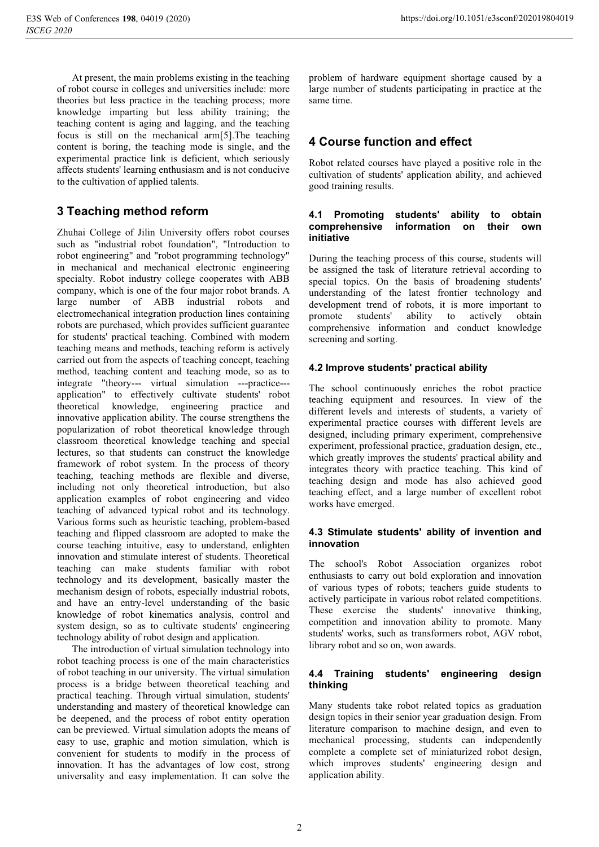At present, the main problems existing in the teaching of robot course in colleges and universities include: more theories but less practice in the teaching process; more knowledge imparting but less ability training; the teaching content is aging and lagging, and the teaching focus is still on the mechanical arm[5].The teaching content is boring, the teaching mode is single, and the experimental practice link is deficient, which seriously affects students' learning enthusiasm and is not conducive to the cultivation of applied talents.

# **3 Teaching method reform**

Zhuhai College of Jilin University offers robot courses such as "industrial robot foundation", "Introduction to robot engineering" and "robot programming technology" in mechanical and mechanical electronic engineering specialty. Robot industry college cooperates with ABB company, which is one of the four major robot brands. A large number of ABB industrial robots and electromechanical integration production lines containing robots are purchased, which provides sufficient guarantee for students' practical teaching. Combined with modern teaching means and methods, teaching reform is actively carried out from the aspects of teaching concept, teaching method, teaching content and teaching mode, so as to integrate "theory--- virtual simulation ---practice-- application" to effectively cultivate students' robot theoretical knowledge, engineering practice and innovative application ability. The course strengthens the popularization of robot theoretical knowledge through classroom theoretical knowledge teaching and special lectures, so that students can construct the knowledge framework of robot system. In the process of theory teaching, teaching methods are flexible and diverse, including not only theoretical introduction, but also application examples of robot engineering and video teaching of advanced typical robot and its technology. Various forms such as heuristic teaching, problem-based teaching and flipped classroom are adopted to make the course teaching intuitive, easy to understand, enlighten innovation and stimulate interest of students. Theoretical teaching can make students familiar with robot technology and its development, basically master the mechanism design of robots, especially industrial robots, and have an entry-level understanding of the basic knowledge of robot kinematics analysis, control and system design, so as to cultivate students' engineering technology ability of robot design and application.

The introduction of virtual simulation technology into robot teaching process is one of the main characteristics of robot teaching in our university. The virtual simulation process is a bridge between theoretical teaching and practical teaching. Through virtual simulation, students' understanding and mastery of theoretical knowledge can be deepened, and the process of robot entity operation can be previewed. Virtual simulation adopts the means of easy to use, graphic and motion simulation, which is convenient for students to modify in the process of innovation. It has the advantages of low cost, strong universality and easy implementation. It can solve the

problem of hardware equipment shortage caused by a large number of students participating in practice at the same time.

## **4 Course function and effect**

Robot related courses have played a positive role in the cultivation of students' application ability, and achieved good training results.

#### **4.1 Promoting students' ability to obtain comprehensive information on their own initiative**

During the teaching process of this course, students will be assigned the task of literature retrieval according to special topics. On the basis of broadening students' understanding of the latest frontier technology and development trend of robots, it is more important to promote students' ability to actively obtain comprehensive information and conduct knowledge screening and sorting.

#### **4.2 Improve students' practical ability**

The school continuously enriches the robot practice teaching equipment and resources. In view of the different levels and interests of students, a variety of experimental practice courses with different levels are designed, including primary experiment, comprehensive experiment, professional practice, graduation design, etc., which greatly improves the students' practical ability and integrates theory with practice teaching. This kind of teaching design and mode has also achieved good teaching effect, and a large number of excellent robot works have emerged.

#### **4.3 Stimulate students' ability of invention and innovation**

The school's Robot Association organizes robot enthusiasts to carry out bold exploration and innovation of various types of robots; teachers guide students to actively participate in various robot related competitions. These exercise the students' innovative thinking, competition and innovation ability to promote. Many students' works, such as transformers robot, AGV robot, library robot and so on, won awards.

#### **4.4 Training students' engineering design thinking**

Many students take robot related topics as graduation design topics in their senior year graduation design. From literature comparison to machine design, and even to mechanical processing, students can independently complete a complete set of miniaturized robot design, which improves students' engineering design and application ability.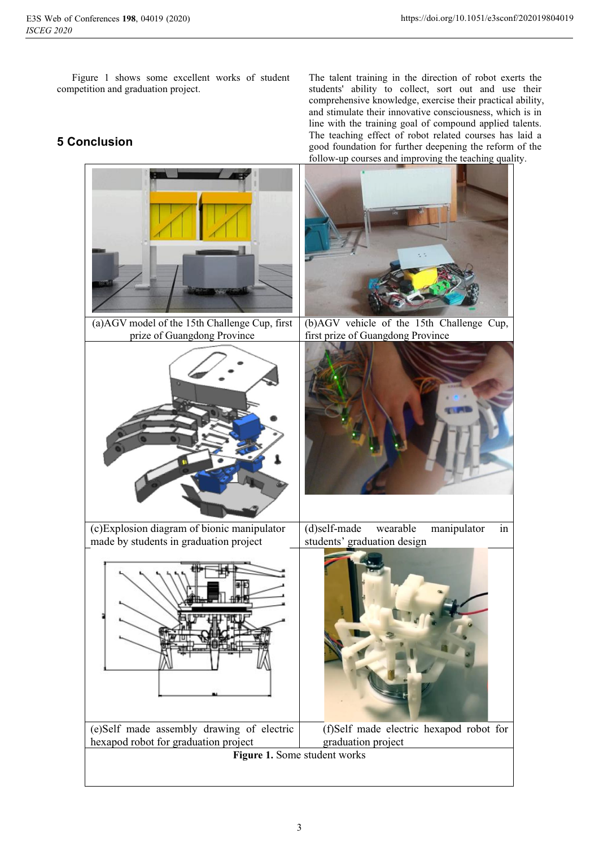Figure 1 shows some excellent works of student competition and graduation project.

# **5 Conclusion**

The talent training in the direction of robot exerts the students' ability to collect, sort out and use their comprehensive knowledge, exercise their practical ability, and stimulate their innovative consciousness, which is in line with the training goal of compound applied talents. The teaching effect of robot related courses has laid a good foundation for further deepening the reform of the follow-up courses and improving the teaching quality.